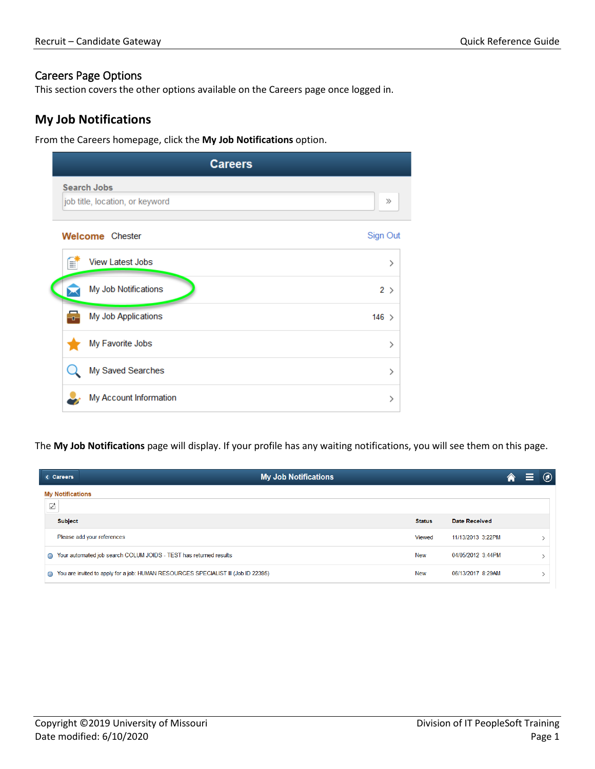#### Careers Page Options

This section covers the other options available on the Careers page once logged in.

## **My Job Notifications**

From the Careers homepage, click the **My Job Notifications** option.

|                                                       | <b>Careers</b> |          |
|-------------------------------------------------------|----------------|----------|
| <b>Search Jobs</b><br>job title, location, or keyword |                | $\gg$    |
| <b>Welcome</b> Chester                                |                | Sign Out |
| <b>View Latest Jobs</b><br>H                          |                | ⋋        |
| My Job Notifications                                  |                | 2 >      |
| My Job Applications<br>ᅮ                              |                | $146$ >  |
| My Favorite Jobs                                      |                | ⋋        |
| My Saved Searches                                     |                | ⋋        |
| My Account Information                                |                | ⋋        |

The **My Job Notifications** page will display. If your profile has any waiting notifications, you will see them on this page.

| <b>My Job Notifications</b><br><b>&lt; Careers</b>                                     |               |                      | 合 | e | $\circledcirc$ |
|----------------------------------------------------------------------------------------|---------------|----------------------|---|---|----------------|
| <b>My Notifications</b><br>☑                                                           |               |                      |   |   |                |
| <b>Subject</b>                                                                         | <b>Status</b> | <b>Date Received</b> |   |   |                |
| Please add your references                                                             | Viewed        | 11/13/2013 3:22PM    |   |   |                |
| Your automated job search COLUM JOIDS - TEST has returned results<br>≏                 | New           | 04/05/2012 3:44PM    |   |   |                |
| You are invited to apply for a job: HUMAN RESOURCES SPECIALIST III (Job ID 22395)<br>≏ | New           | 06/13/2017 8:29AM    |   |   |                |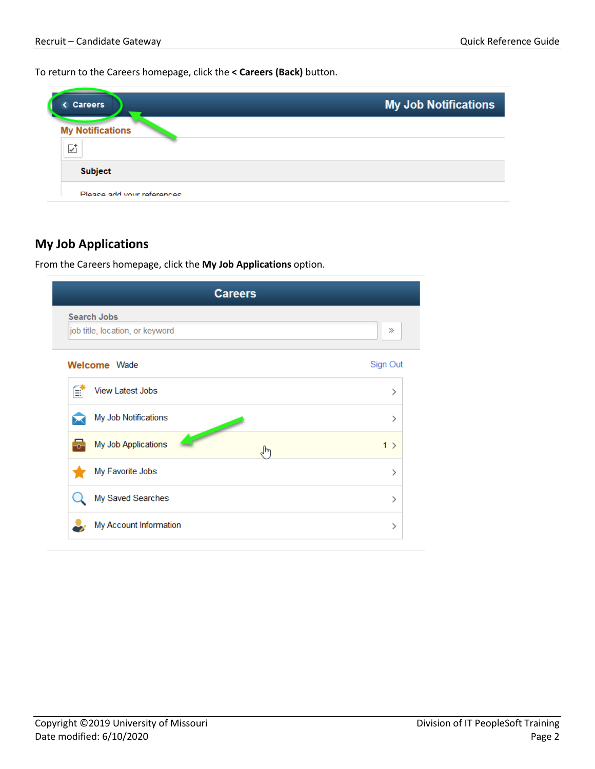To return to the Careers homepage, click the **< Careers (Back)** button.

| <b>Careers</b>               | <b>My Job Notifications</b> |
|------------------------------|-----------------------------|
| <b>My Notifications</b><br>✓ |                             |
| <b>Subject</b>               |                             |
| Please add vour references   |                             |

# **My Job Applications**

From the Careers homepage, click the **My Job Applications** option.

| <b>Careers</b>                                                                                                                                                                                                                                                        |          |  |  |  |  |  |
|-----------------------------------------------------------------------------------------------------------------------------------------------------------------------------------------------------------------------------------------------------------------------|----------|--|--|--|--|--|
| <b>Search Jobs</b><br>job title, location, or keyword                                                                                                                                                                                                                 | $\gg$    |  |  |  |  |  |
| <b>Welcome</b> Wade                                                                                                                                                                                                                                                   | Sign Out |  |  |  |  |  |
| <b>View Latest Jobs</b><br>F                                                                                                                                                                                                                                          | ⋋        |  |  |  |  |  |
| My Job Notifications                                                                                                                                                                                                                                                  | ⋋        |  |  |  |  |  |
| <b>Contract Contract Contract Contract Contract Contract Contract Contract Contract Contract Contract Contract Contract Contract Contract Contract Contract Contract Contract Contract Contract Contract Contract Contract Contr</b><br>My Job Applications<br>Ŧ<br>ᠾ | $1$ >    |  |  |  |  |  |
| My Favorite Jobs                                                                                                                                                                                                                                                      | ⋋        |  |  |  |  |  |
| My Saved Searches                                                                                                                                                                                                                                                     | ⋋        |  |  |  |  |  |
| My Account Information                                                                                                                                                                                                                                                | ⋋        |  |  |  |  |  |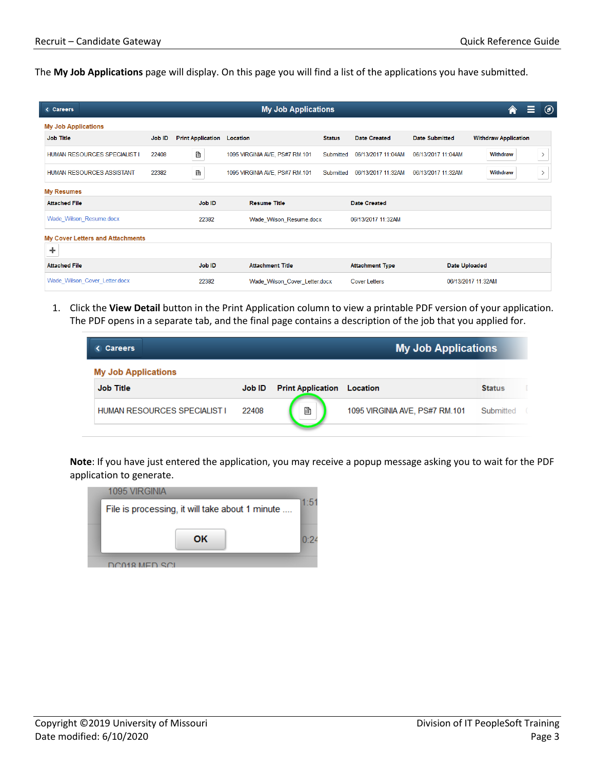The **My Job Applications** page will display. On this page you will find a list of the applications you have submitted.

| <b>My Job Applications</b><br>< Careers |        |                          |                                |               |                        | Ξ<br>Â                | $^{\circledR}$              |        |
|-----------------------------------------|--------|--------------------------|--------------------------------|---------------|------------------------|-----------------------|-----------------------------|--------|
| <b>My Job Applications</b>              |        |                          |                                |               |                        |                       |                             |        |
| <b>Job Title</b>                        | Job ID | <b>Print Application</b> | <b>Location</b>                | <b>Status</b> | <b>Date Created</b>    | <b>Date Submitted</b> | <b>Withdraw Application</b> |        |
| HUMAN RESOURCES SPECIALIST I            | 22408  | þ                        | 1095 VIRGINIA AVE, PS#7 RM.101 | Submitted     | 06/13/2017 11:04AM     | 06/13/2017 11:04AM    | Withdraw                    | $\geq$ |
| <b>HUMAN RESOURCES ASSISTANT</b>        | 22382  | B                        | 1095 VIRGINIA AVE, PS#7 RM.101 | Submitted     | 06/13/2017 11:32AM     | 06/13/2017 11:32AM    | Withdraw                    | $\,$   |
| <b>My Resumes</b>                       |        |                          |                                |               |                        |                       |                             |        |
| <b>Attached File</b>                    |        | <b>Job ID</b>            | <b>Resume Title</b>            |               | <b>Date Created</b>    |                       |                             |        |
| Wade Wilson Resume.docx                 |        | 22382                    | Wade Wilson Resume.docx        |               | 06/13/2017 11:32AM     |                       |                             |        |
| <b>My Cover Letters and Attachments</b> |        |                          |                                |               |                        |                       |                             |        |
| ┿                                       |        |                          |                                |               |                        |                       |                             |        |
| <b>Attached File</b>                    |        | Job ID                   | <b>Attachment Title</b>        |               | <b>Attachment Type</b> | <b>Date Uploaded</b>  |                             |        |
| Wade Wilson Cover Letter.docx           |        | 22382                    | Wade Wilson Cover Letter.docx  |               | Cover Letters          |                       | 06/13/2017 11:32AM          |        |

1. Click the **View Detail** button in the Print Application column to view a printable PDF version of your application. The PDF opens in a separate tab, and the final page contains a description of the job that you applied for.

| <b>My Job Applications</b><br><b>Careers</b> |                          |                                |                  |  |  |
|----------------------------------------------|--------------------------|--------------------------------|------------------|--|--|
|                                              |                          |                                |                  |  |  |
| Job ID                                       | <b>Print Application</b> | Location                       | <b>Status</b>    |  |  |
| 22408                                        | B                        | 1095 VIRGINIA AVE, PS#7 RM.101 | <b>Submitted</b> |  |  |
|                                              |                          |                                |                  |  |  |

**Note**: If you have just entered the application, you may receive a popup message asking you to wait for the PDF application to generate.

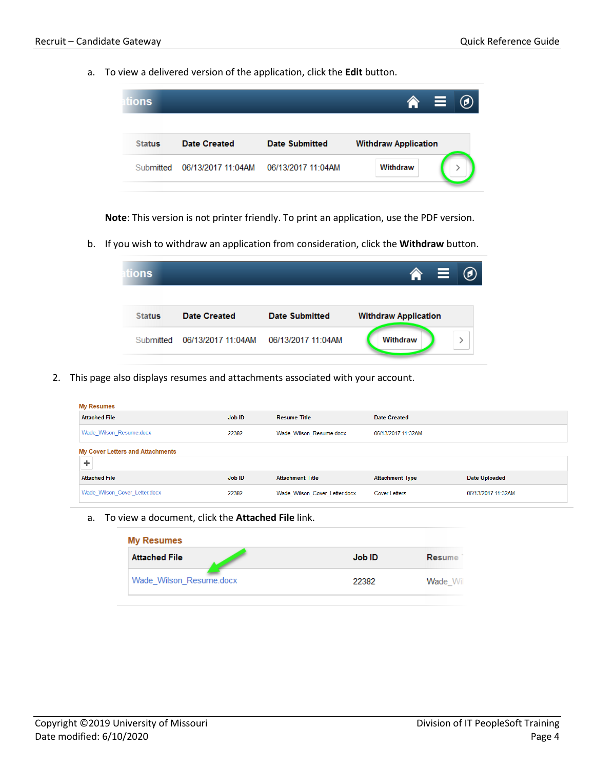a. To view a delivered version of the application, click the **Edit** button.

| ons           |                    |                       | E<br>(d)                    |
|---------------|--------------------|-----------------------|-----------------------------|
| <b>Status</b> | Date Created       | <b>Date Submitted</b> | <b>Withdraw Application</b> |
| Submitted     | 06/13/2017 11:04AM | 06/13/2017 11:04AM    | Withdraw                    |

**Note**: This version is not printer friendly. To print an application, use the PDF version.

b. If you wish to withdraw an application from consideration, click the **Withdraw** button.

| tions         |                    |                       | <b>S</b>                    | $\circledcirc$ |
|---------------|--------------------|-----------------------|-----------------------------|----------------|
| <b>Status</b> | Date Created       | <b>Date Submitted</b> | <b>Withdraw Application</b> |                |
| Submitted     | 06/13/2017 11:04AM | 06/13/2017 11:04AM    | Withdraw                    |                |

2. This page also displays resumes and attachments associated with your account.

| <b>My Resumes</b>                            |        |                               |                        |                    |
|----------------------------------------------|--------|-------------------------------|------------------------|--------------------|
| <b>Attached File</b>                         | Job ID | <b>Resume Title</b>           | Date Created           |                    |
| Wade_Wilson_Resume.docx                      | 22382  | Wade_Wilson_Resume.docx       | 06/13/2017 11:32AM     |                    |
| <b>My Cover Letters and Attachments</b><br>÷ |        |                               |                        |                    |
| <b>Attached File</b>                         | Job ID | <b>Attachment Title</b>       | <b>Attachment Type</b> | Date Uploaded      |
| Wade Wilson Cover Letter.docx                | 22382  | Wade Wilson Cover Letter.docx | <b>Cover Letters</b>   | 06/13/2017 11:32AM |

a. To view a document, click the **Attached File** link.

| <b>My Resumes</b>       |        |                 |  |  |  |  |
|-------------------------|--------|-----------------|--|--|--|--|
| <b>Attached File</b>    | Job ID | Resume          |  |  |  |  |
| Wade Wilson Resume.docx | 22382  | <b>Wade</b> Wil |  |  |  |  |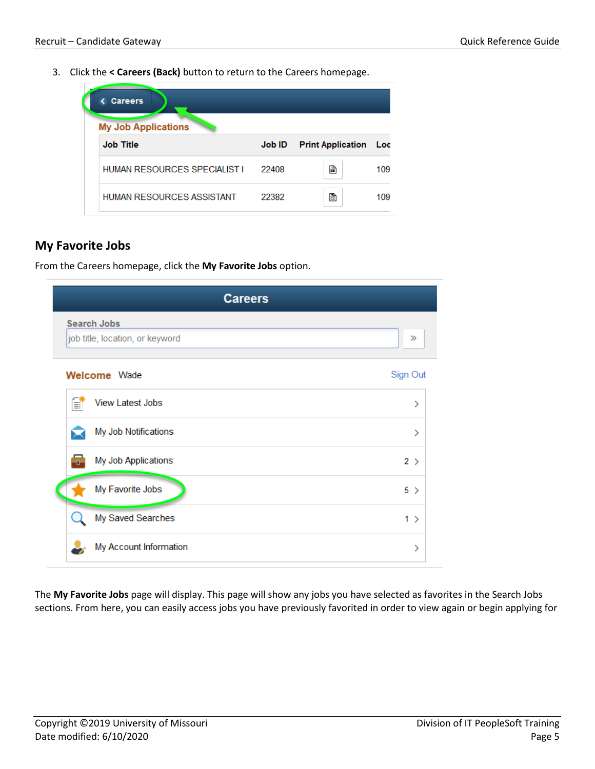3. Click the **< Careers (Back)** button to return to the Careers homepage.

| <b>Careers</b><br><b>My Job Applications</b> |        |                          |     |  |  |  |  |  |  |
|----------------------------------------------|--------|--------------------------|-----|--|--|--|--|--|--|
| <b>Job Title</b>                             | Job ID | <b>Print Application</b> | Loc |  |  |  |  |  |  |
| HUMAN RESOURCES SPECIALIST I                 | 22408  | r                        | 109 |  |  |  |  |  |  |
| HUMAN RESOURCES ASSISTANT                    | 22382  | 鹛                        | 109 |  |  |  |  |  |  |

### **My Favorite Jobs**

From the Careers homepage, click the **My Favorite Jobs** option.

| <b>Careers</b>                                        |          |
|-------------------------------------------------------|----------|
| <b>Search Jobs</b><br>job title, location, or keyword | $\gg$    |
| <b>Welcome</b> Wade                                   | Sign Out |
| <b>View Latest Jobs</b><br>B                          | ⋋        |
| My Job Notifications                                  | ⋋        |
| My Job Applications<br>÷                              | 2 >      |
| My Favorite Jobs                                      | 5 >      |
| My Saved Searches                                     | $1$ >    |
| My Account Information                                | >        |

The **My Favorite Jobs** page will display. This page will show any jobs you have selected as favorites in the Search Jobs sections. From here, you can easily access jobs you have previously favorited in order to view again or begin applying for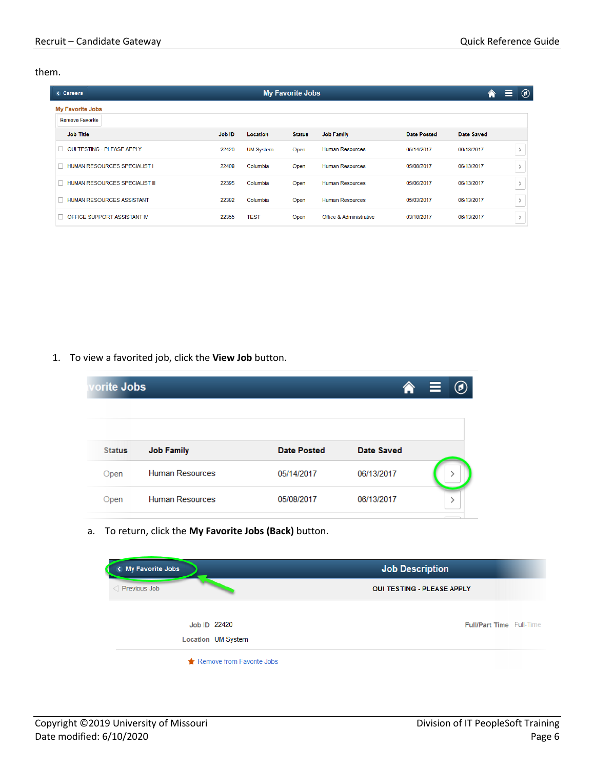them.

| < Careers                                         |        |                  | <b>My Favorite Jobs</b> |                         |                    | 合                 | $^{\circledR}$<br>Ε                                                                                                                                                                                                                                                                                                                                                                                                                                                                |
|---------------------------------------------------|--------|------------------|-------------------------|-------------------------|--------------------|-------------------|------------------------------------------------------------------------------------------------------------------------------------------------------------------------------------------------------------------------------------------------------------------------------------------------------------------------------------------------------------------------------------------------------------------------------------------------------------------------------------|
| <b>My Favorite Jobs</b><br><b>Remove Favorite</b> |        |                  |                         |                         |                    |                   |                                                                                                                                                                                                                                                                                                                                                                                                                                                                                    |
| <b>Job Title</b>                                  | Job ID | Location         | <b>Status</b>           | <b>Job Family</b>       | <b>Date Posted</b> | <b>Date Saved</b> |                                                                                                                                                                                                                                                                                                                                                                                                                                                                                    |
| <b>OUI TESTING - PLEASE APPLY</b><br>П            | 22420  | <b>UM System</b> | Open                    | <b>Human Resources</b>  | 05/14/2017         | 06/13/2017        | $\,$                                                                                                                                                                                                                                                                                                                                                                                                                                                                               |
| <b>HUMAN RESOURCES SPECIALIST I</b><br>$\Box$     | 22408  | Columbia         | Open                    | <b>Human Resources</b>  | 05/08/2017         | 06/13/2017        | $\,$<br>$\frac{1}{2} \left( \frac{1}{2} \right) \left( \frac{1}{2} \right) \left( \frac{1}{2} \right) \left( \frac{1}{2} \right) \left( \frac{1}{2} \right) \left( \frac{1}{2} \right) \left( \frac{1}{2} \right) \left( \frac{1}{2} \right) \left( \frac{1}{2} \right) \left( \frac{1}{2} \right) \left( \frac{1}{2} \right) \left( \frac{1}{2} \right) \left( \frac{1}{2} \right) \left( \frac{1}{2} \right) \left( \frac{1}{2} \right) \left( \frac{1}{2} \right) \left( \frac$ |
| HUMAN RESOURCES SPECIALIST III<br>$\mathbf{L}$    | 22395  | Columbia         | Open                    | <b>Human Resources</b>  | 05/06/2017         | 06/13/2017        | $\,$                                                                                                                                                                                                                                                                                                                                                                                                                                                                               |
| <b>HUMAN RESOURCES ASSISTANT</b><br>П             | 22382  | Columbia         | Open                    | <b>Human Resources</b>  | 05/03/2017         | 06/13/2017        | $\overline{\phantom{a}}$                                                                                                                                                                                                                                                                                                                                                                                                                                                           |
| OFFICE SUPPORT ASSISTANT IV                       | 22355  | <b>TEST</b>      | Open                    | Office & Administrative | 03/18/2017         | 06/13/2017        | $\mathcal{E}$                                                                                                                                                                                                                                                                                                                                                                                                                                                                      |

1. To view a favorited job, click the **View Job** button.

| orite Jobs    |                        |                    |            | $\hat{r}$ $\equiv$<br>$\circledcirc$ |
|---------------|------------------------|--------------------|------------|--------------------------------------|
|               |                        |                    |            |                                      |
| <b>Status</b> | <b>Job Family</b>      | <b>Date Posted</b> | Date Saved |                                      |
| Open          | <b>Human Resources</b> | 05/14/2017         | 06/13/2017 |                                      |
| Open          | <b>Human Resources</b> | 05/08/2017         | 06/13/2017 |                                      |

a. To return, click the **My Favorite Jobs (Back)** button.

| < My Favorite Jobs        | Job Description                   |
|---------------------------|-----------------------------------|
| Previous Job              | <b>OUI TESTING - PLEASE APPLY</b> |
| Job ID 22420              | <b>Full/Part Time Full-Time</b>   |
| Location UM System        |                                   |
| Remove from Favorite Jobs |                                   |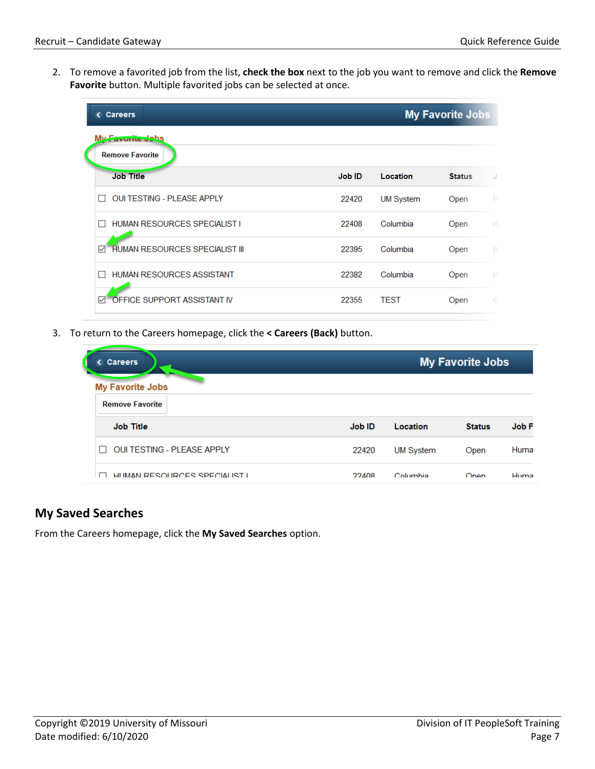2. To remove a favorited job from the list, **check the box** next to the job you want to remove and click the **Remove Favorite** button. Multiple favorited jobs can be selected at once.

| < Careers                                      |        |                  | <b>My Favorite Jobs</b> |    |
|------------------------------------------------|--------|------------------|-------------------------|----|
| <b>Lavullie Johs</b><br><b>Remove Favorite</b> |        |                  |                         |    |
| <b>Job Title</b>                               | Job ID | Location         | <b>Status</b>           | J  |
| <b>OUI TESTING - PLEASE APPLY</b>              | 22420  | <b>UM System</b> | Open                    | н  |
| HUMAN RESOURCES SPECIALIST I                   | 22408  | Columbia         | Open                    | H. |
| <b>HUMAN RESOURCES SPECIALIST III</b><br>✓     | 22395  | Columbia         | Open                    | H  |
| <b>HUMAN RESOURCES ASSISTANT</b>               | 22382  | Columbia         | Open                    | H. |
| OFFICE SUPPORT ASSISTANT IV<br>☑               | 22355  | <b>TEST</b>      | Open                    |    |

3. To return to the Careers homepage, click the **< Careers (Back)** button.

| <b>Careers</b>                                    |               |                  | <b>My Favorite Jobs</b> |       |
|---------------------------------------------------|---------------|------------------|-------------------------|-------|
| <b>My Favorite Jobs</b><br><b>Remove Favorite</b> |               |                  |                         |       |
| <b>Job Title</b>                                  | <b>Job ID</b> | Location         | <b>Status</b>           | Job F |
| <b>OUI TESTING - PLEASE APPLY</b>                 | 22420         | <b>UM System</b> | Open                    | Huma  |
| HUMAN RESOURCES SPECIALIST L                      | 22408         | Columbia         | Onen                    | Huma  |

## **My Saved Searches**

From the Careers homepage, click the **My Saved Searches** option.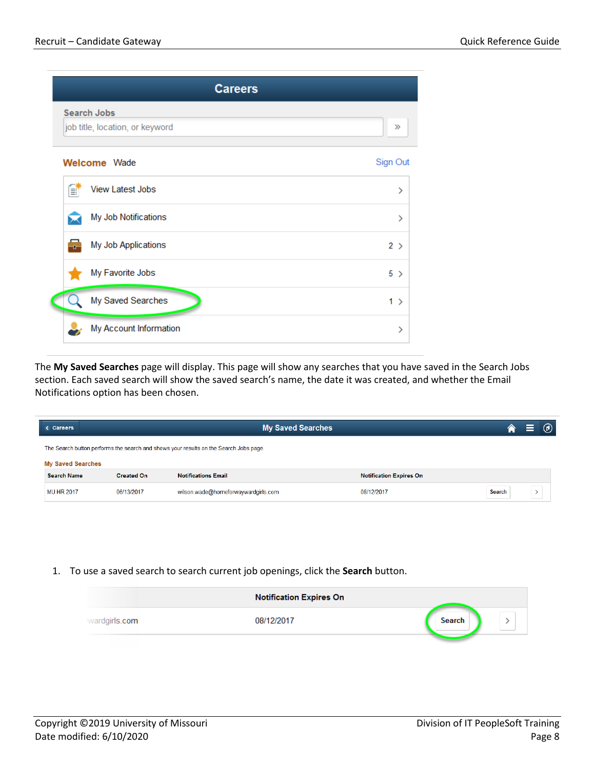|     | <b>Careers</b>                                        |                    |
|-----|-------------------------------------------------------|--------------------|
|     | <b>Search Jobs</b><br>job title, location, or keyword | $\gg$              |
|     | <b>Welcome</b> Wade                                   | Sign Out           |
| B   | <b>View Latest Jobs</b>                               | ⋋                  |
|     | My Job Notifications                                  | ⋋                  |
| ÷n- | My Job Applications                                   | $2$ >              |
|     | My Favorite Jobs                                      | 5<br>$\rightarrow$ |
|     | My Saved Searches                                     | $1$ >              |
|     | My Account Information                                | ⋋                  |

The **My Saved Searches** page will display. This page will show any searches that you have saved in the Search Jobs section. Each saved search will show the saved search's name, the date it was created, and whether the Email Notifications option has been chosen.

| < Careers                | <b>My Saved Searches</b><br>合                                                         |                                     |                                |        |  | $\circledcirc$ |
|--------------------------|---------------------------------------------------------------------------------------|-------------------------------------|--------------------------------|--------|--|----------------|
|                          | The Search button performs the search and shows your results on the Search Jobs page. |                                     |                                |        |  |                |
| <b>My Saved Searches</b> |                                                                                       |                                     |                                |        |  |                |
| <b>Search Name</b>       | <b>Created On</b>                                                                     | <b>Notifications Email</b>          | <b>Notification Expires On</b> |        |  |                |
| <b>MU HR 2017</b>        | 06/13/2017                                                                            | wilson.wade@homeforwaywardgirls.com | 08/12/2017                     | Search |  |                |

1. To use a saved search to search current job openings, click the **Search** button.

|               | <b>Notification Expires On</b> |        |  |
|---------------|--------------------------------|--------|--|
| wardgirls.com | 08/12/2017                     | Search |  |
|               |                                |        |  |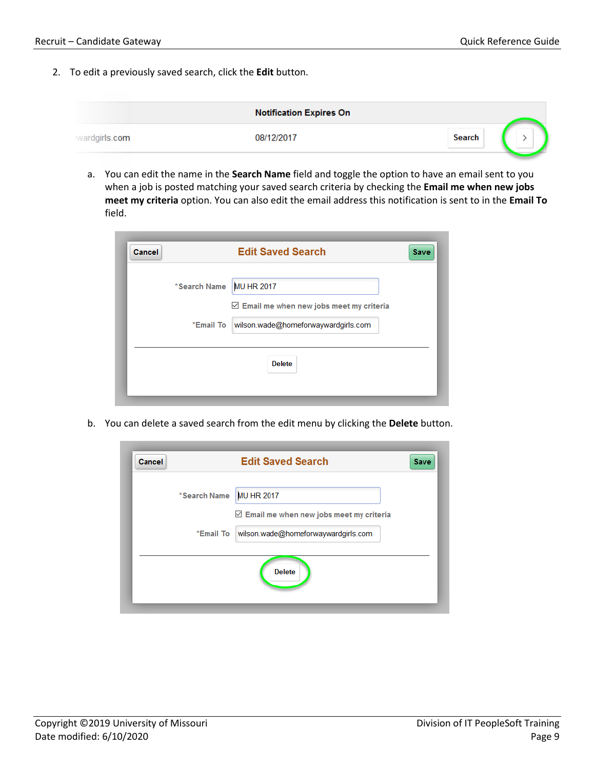2. To edit a previously saved search, click the **Edit** button.

|               | <b>Notification Expires On</b> |        |  |
|---------------|--------------------------------|--------|--|
| wardgirls.com | 08/12/2017                     | Search |  |
|               |                                |        |  |

a. You can edit the name in the **Search Name** field and toggle the option to have an email sent to you when a job is posted matching your saved search criteria by checking the **Email me when new jobs meet my criteria** option. You can also edit the email address this notification is sent to in the **Email To** field.

| <b>Cancel</b> |                                                  | <b>Edit Saved Search</b>                                 | Save |
|---------------|--------------------------------------------------|----------------------------------------------------------|------|
|               | *Search Name                                     | <b>MU HR 2017</b>                                        |      |
|               |                                                  | $\triangleright$ Email me when new jobs meet my criteria |      |
|               | wilson.wade@homeforwaywardgirls.com<br>*Email To |                                                          |      |
|               |                                                  | <b>Delete</b>                                            |      |
|               |                                                  |                                                          |      |
|               |                                                  |                                                          |      |

b. You can delete a saved search from the edit menu by clicking the **Delete** button.

| <b>Cancel</b> | <b>Edit Saved Search</b><br><b>Save</b>                 |
|---------------|---------------------------------------------------------|
| *Search Name  | <b>MU HR 2017</b>                                       |
|               | $\triangledown$ Email me when new jobs meet my criteria |
| *Email To     | wilson.wade@homeforwaywardgirls.com                     |
|               | <b>Delete</b>                                           |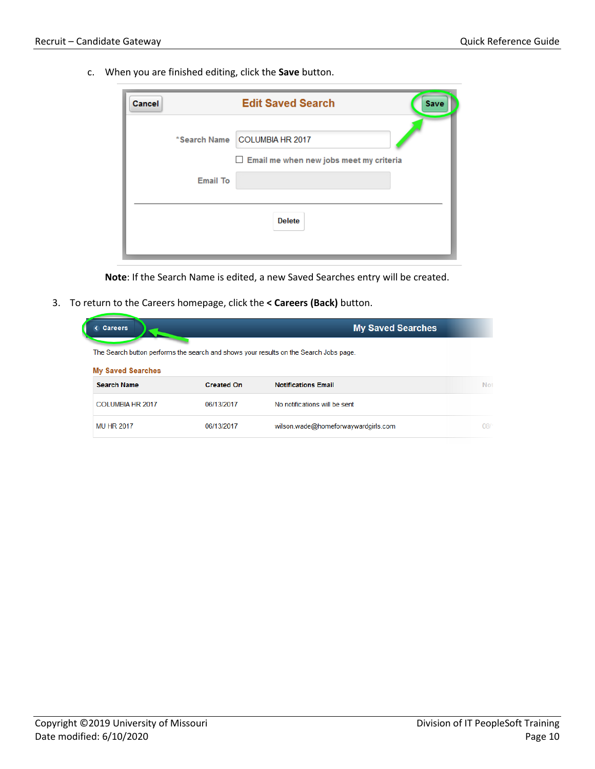c. When you are finished editing, click the **Save** button.

| Cancel |                 | <b>Edit Saved Search</b><br><b>Save</b>                                         |
|--------|-----------------|---------------------------------------------------------------------------------|
|        |                 | *Search Name COLUMBIA HR 2017<br>$\Box$ Email me when new jobs meet my criteria |
|        | <b>Email To</b> |                                                                                 |
|        |                 | <b>Delete</b>                                                                   |

**Note**: If the Search Name is edited, a new Saved Searches entry will be created.

3. To return to the Careers homepage, click the **< Careers (Back)** button.

|                   | <b>My Saved Searches</b>            |                                                                                       |
|-------------------|-------------------------------------|---------------------------------------------------------------------------------------|
|                   |                                     |                                                                                       |
|                   |                                     |                                                                                       |
| <b>Created On</b> | <b>Notifications Email</b>          | No                                                                                    |
| 06/13/2017        | No notifications will be sent       |                                                                                       |
| 06/13/2017        | wilson.wade@homeforwaywardgirls.com | 08                                                                                    |
|                   |                                     | The Search button performs the search and shows your results on the Search Jobs page. |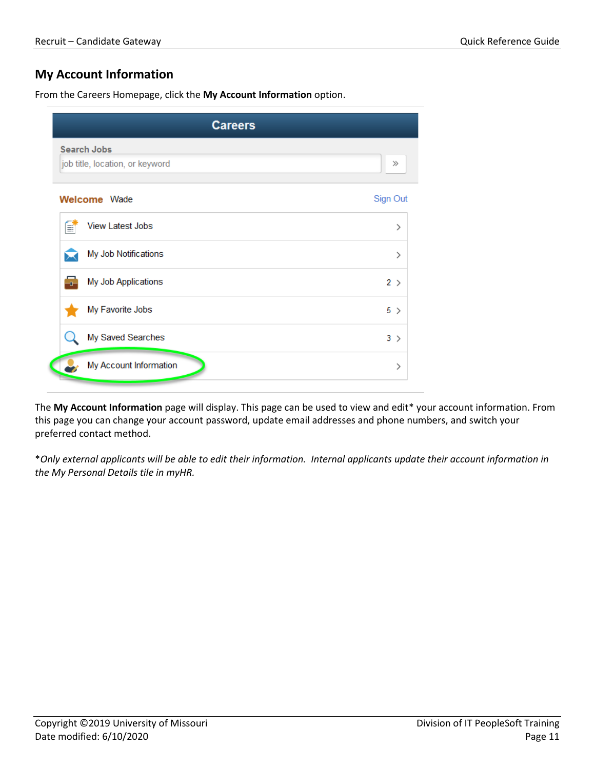# **My Account Information**

From the Careers Homepage, click the **My Account Information** option.

|   | <b>Careers</b>                                        |          |
|---|-------------------------------------------------------|----------|
|   | <b>Search Jobs</b><br>job title, location, or keyword | $\gg$    |
|   | <b>Welcome</b> Wade                                   | Sign Out |
| f | <b>View Latest Jobs</b>                               | ⋋        |
|   | My Job Notifications                                  | ⋋        |
| ÷ | My Job Applications                                   | 2 >      |
|   | My Favorite Jobs                                      | $5$ >    |
|   | My Saved Searches                                     | $3$ >    |
|   | My Account Information                                | ⋋        |

The **My Account Information** page will display. This page can be used to view and edit\* your account information. From this page you can change your account password, update email addresses and phone numbers, and switch your preferred contact method.

\**Only external applicants will be able to edit their information. Internal applicants update their account information in the My Personal Details tile in myHR.*